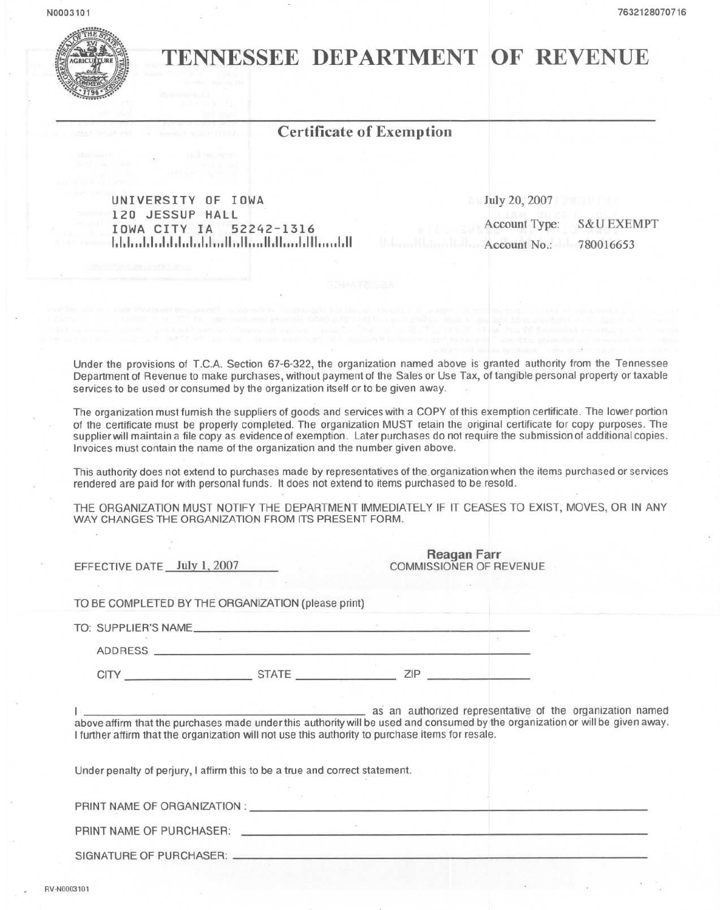

## TENNESSEE DEPARTMENT OF REVENUE

## Certificate of Exemption

UNIVERSITY OF IOWA 120 JESSUP HALL IOWA CITY IA 52242-1316 1,1,1".1,1"1.1,1,,1,,1,1,,, 11"11",, 11,11" "1,111,,, "I,ll July 20, 2007 Account Type: S&U EXEMPT Account No.: 780016653

Under the provisions of T.CA Section 67-6-322, the organization named above is granted authority from the Tennessee Department of Revenue to make purchases, without payment of the Sales or Use Tax, of tangible personal property or taxable services to be used or consumed by the organization itself or to be given away.

The organization must furnish the suppliers of goods and services with a COPY of this exemption certificate. The lower portion of the certificate must be properly completed. The organization MUST retain the original certificate for copy purposes. The supplier will maintain a file copy as evidence of exemption. Later purchases do not require the submission of additional copies. Invoices must contain the name of the organization and the number given above.

This authority does not extend to purchases made by representatives of the. organization when the items purchased or services rendered are paid for with personal funds. It does not extend to items purchased to be resold.

THE ORGANIZATION MUST NOTIFY THE DEPARTMENT IMMEDIATELY IF IT CEASES TO EXIST, MOVES, OR IN ANY WAY CHANGES THE ORGANIZATION FROM ITS PRESENT FORM.

| EFFECTIVE DATE July 1, 2007 |                                                                                                  | Reagan Farr<br>COMMISSIONER OF REVENUE |                                                                                                                                                                                            |
|-----------------------------|--------------------------------------------------------------------------------------------------|----------------------------------------|--------------------------------------------------------------------------------------------------------------------------------------------------------------------------------------------|
|                             |                                                                                                  |                                        |                                                                                                                                                                                            |
|                             | TO BE COMPLETED BY THE ORGANIZATION (please print)                                               |                                        |                                                                                                                                                                                            |
|                             |                                                                                                  |                                        |                                                                                                                                                                                            |
|                             |                                                                                                  |                                        |                                                                                                                                                                                            |
|                             | CITY STATE ZIP                                                                                   |                                        |                                                                                                                                                                                            |
|                             | I further affirm that the organization will not use this authority to purchase items for resale. |                                        | as an authorized representative of the organization named<br>above affirm that the purchases made under this authority will be used and consumed by the organization or will be given away |
|                             | Under penalty of perjury, I affirm this to be a true and correct statement.                      |                                        |                                                                                                                                                                                            |
|                             | PRINT NAME OF ORGANIZATION : LATER STATE STATES AND THE STATES OF ORGANIZATION :                 |                                        |                                                                                                                                                                                            |
|                             | PRINT NAME OF PURCHASER: CONTROL PRINT NAME OF PURCHASER:                                        |                                        |                                                                                                                                                                                            |
|                             |                                                                                                  |                                        |                                                                                                                                                                                            |